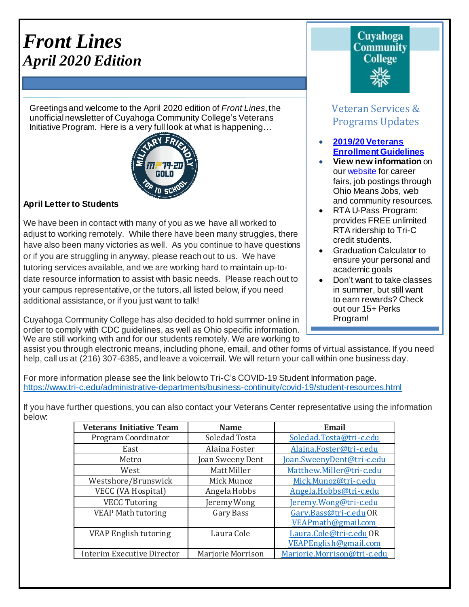# *Front Lines April 2020 Edition*

Greetings and welcome to the April 2020 edition of *Front Lines*, the unofficialnewsletter of Cuyahoga Community College's Veterans Initiative Program. Here is a very full look at what is happening…



## **April Letter to Students**

We have been in contact with many of you as we have all worked to adjust to working remotely. While there have been many struggles, there have also been many victories as well. As you continue to have questions or if you are struggling in anyway, please reach out to us. We have tutoring services available, and we are working hard to maintain up-todate resource information to assist with basic needs. Please reach out to your campus representative, or the tutors, all listed below, if you need additional assistance, or if you just want to talk!

Cuyahoga Community College has also decided to hold summer online in order to comply with CDC guidelines, as well as Ohio specific information. We are still working with and for our students remotely. We are working to

## Cuvahoga **Community College**

## Veteran Services & Programs Updates

- **[2019/20Veterans](http://www.tri-c.edu/veterans/documents/veterans-student-veteran-guide-flyer-2017.pdf) [Enrollment](http://www.tri-c.edu/veterans/documents/veterans-student-veteran-guide-flyer-2017.pdf) Guidelines**
- **View new information** on ou[r website](http://www.tri-c.edu/veterans/) for career fairs, job postings through Ohio Means Jobs, web and community resources.
- RTA U-Pass Program: provides FREE unlimited RTA ridership to Tri-C credit students.
- Graduation Calculator to ensure your personal and academic goals
- Don't want to take classes in summer, but still want to earn rewards? Check out our 15+ Perks Program!

T.

assist you through electronic means, including phone, email, and other forms of virtual assistance. If you need help, call us at (216) 307-6385, and leave a voicemail. We will return your call within one business day.

For more information please see the link below to Tri-C's COVID-19 Student Information page. <https://www.tri-c.edu/administrative-departments/business-continuity/covid-19/student-resources.html>

If you have further questions, you can also contact your Veterans Center representative using the information below:

| <b>Veterans Initiative Team</b>   | <b>Name</b>       | <b>Email</b>                |
|-----------------------------------|-------------------|-----------------------------|
| Program Coordinator               | Soledad Tosta     | Soledad.Tosta@tri-c.edu     |
| East                              | Alaina Foster     | Alaina.Foster@tri-c.edu     |
| Metro                             | Joan Sweeny Dent  | Joan.SweenyDent@tri-c.edu   |
| West                              | Matt Miller       | Matthew.Miller@tri-c.edu    |
| Westshore/Brunswick               | Mick Munoz        | Mick.Munoz@tri-c.edu        |
| VECC (VA Hospital)                | Angela Hobbs      | Angela.Hobbs@tri-c.edu      |
| <b>VECC Tutoring</b>              | Jeremy Wong       | Jeremy.Wong@tri-c.edu       |
| <b>VEAP Math tutoring</b>         | Gary Bass         | Gary.Bass@tri-c.eduOR       |
|                                   |                   | VEAPmath@gmail.com          |
| <b>VEAP English tutoring</b>      | Laura Cole        | Laura.Cole@tri-c.edu OR     |
|                                   |                   | VEAPEnglish@gmail.com       |
| <b>Interim Executive Director</b> | Marjorie Morrison | Marjorie.Morrison@tri-c.edu |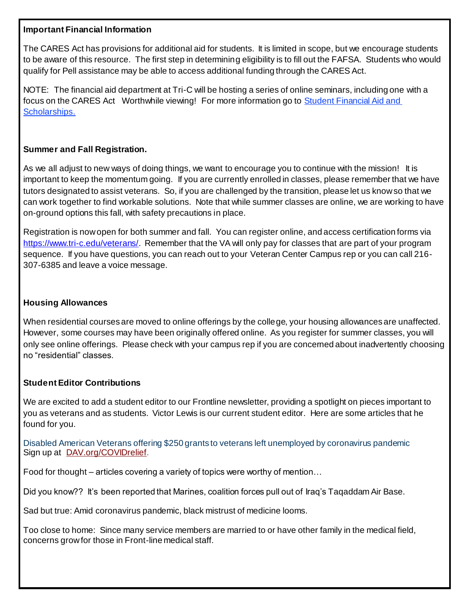## **Important Financial Information**

The CARES Act has provisions for additional aid for students. It is limited in scope, but we encourage students to be aware of this resource. The first step in determining eligibility is to fill out the FAFSA. Students who would qualify for Pell assistance may be able to access additional funding through the CARES Act.

NOTE: The financial aid department at Tri-C will be hosting a series of online seminars, including one with a focus on the CARES Act Worthwhile viewing! For more information go to Student [Financial](https://click.icptrack.com/icp/relay.php?r=14424044&msgid=938252&act=V41T&c=192417&destination=https%3A%2F%2Fwww.tri-c.edu%2Fpaying-for-college%2Ffinancial-aid-and-scholarships%2Findex.html%3Futm_source%3DiContact%26utm_medium%3Demail%26utm_campaign%3Doffice-of-access-completion%26utm_content%3DUpdate%2BCoronavirus%2Bre%253A%2BServices_0311820) Aid and [Scholarships](https://click.icptrack.com/icp/relay.php?r=14424044&msgid=938252&act=V41T&c=192417&destination=https%3A%2F%2Fwww.tri-c.edu%2Fpaying-for-college%2Ffinancial-aid-and-scholarships%2Findex.html%3Futm_source%3DiContact%26utm_medium%3Demail%26utm_campaign%3Doffice-of-access-completion%26utm_content%3DUpdate%2BCoronavirus%2Bre%253A%2BServices_0311820).

#### **Summer and Fall Registration.**

As we all adjust to new ways of doing things, we want to encourage you to continue with the mission! It is important to keep the momentum going. If you are currently enrolled in classes, please remember that we have tutors designated to assist veterans. So, if you are challenged by the transition, please let us know so that we can work together to find workable solutions. Note that while summer classes are online, we are working to have on-ground options this fall, with safety precautions in place.

Registration is now open for both summer and fall. You can register online, and access certification forms via <https://www.tri-c.edu/veterans/>. Remember that the VA will only pay for classes that are part of your program sequence. If you have questions, you can reach out to your Veteran Center Campus rep or you can call 216- 307-6385 and leave a voice message.

## **Housing Allowances**

When residential courses are moved to online offerings by the college, your housing allowances are unaffected. However, some courses may have been originally offered online. As you register for summer classes, you will only see online offerings. Please check with your campus rep if you are concerned about inadvertently choosing no "residential" classes.

## **Student Editor Contributions**

We are excited to add a student editor to our Frontline newsletter, providing a spotlight on pieces important to you as veterans and as students. Victor Lewis is our current student editor. Here are some articles that he found for you.

Disabled American Veterans offering \$250 grants to veterans left unemployed by coronavirus pandemic Sign up at [DAV.org/COVIDrelief](http://dav.org/COVIDrelief).

Food for thought – articles covering a variety of topics were worthy of mention…

Did you know?? It's been reported that Marines, coalition forces pull out of Iraq's Taqaddam Air Base.

Sad but true: Amid coronavirus pandemic, black mistrust of medicine looms.

Too close to home: Since many service members are married to or have other family in the medical field, concerns grow for those in Front-line medical staff.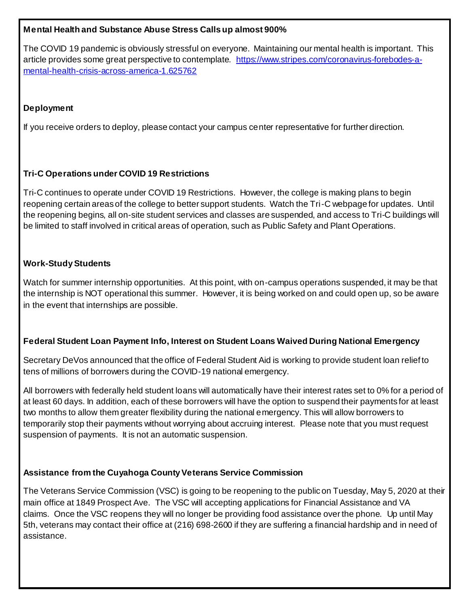## **Mental Health and Substance Abuse Stress Calls up almost 900%**

The COVID 19 pandemic is obviously stressful on everyone. Maintaining our mental health is important. This article provides some great perspective to contemplate. [https://www.stripes.com/coronavirus-forebodes-a](https://www.stripes.com/coronavirus-forebodes-a-mental-health-crisis-across-america-1.625762)[mental-health-crisis-across-america-1.625762](https://www.stripes.com/coronavirus-forebodes-a-mental-health-crisis-across-america-1.625762)

## **Deployment**

If you receive orders to deploy, please contact your campus center representative for further direction.

## **Tri-C Operations under COVID 19 Restrictions**

Tri-C continues to operate under COVID 19 Restrictions. However, the college is making plans to begin reopening certain areas of the college to better support students. Watch the Tri-C webpage for updates. Until the reopening begins, all on-site student services and classes are suspended, and access to Tri-C buildings will be limited to staff involved in critical areas of operation, such as Public Safety and Plant Operations.

## **Work-Study Students**

Watch for summer internship opportunities. At this point, with on-campus operations suspended, it may be that the internship is NOT operational this summer. However, it is being worked on and could open up, so be aware in the event that internships are possible.

## **Federal Student Loan Payment Info, Interest on Student Loans Waived During National Emergency**

Secretary DeVos announced that the office of Federal Student Aid is working to provide student loan relief to tens of millions of borrowers during the COVID-19 national emergency.

All borrowers with federally held student loans will automatically have their interest rates set to 0% for a period of at least 60 days. In addition, each of these borrowers will have the option to suspend their payments for at least two months to allow them greater flexibility during the national emergency. This will allow borrowers to temporarily stop their payments without worrying about accruing interest. Please note that you must request suspension of payments. It is not an automatic suspension.

## **Assistance from the Cuyahoga County Veterans Service Commission**

The Veterans Service Commission (VSC) is going to be reopening to the public on Tuesday, May 5, 2020 at their main office at 1849 Prospect Ave. The VSC will accepting applications for Financial Assistance and VA claims. Once the VSC reopens they will no longer be providing food assistance over the phone. Up until May 5th, veterans may contact their office at (216) 698-2600 if they are suffering a financial hardship and in need of assistance.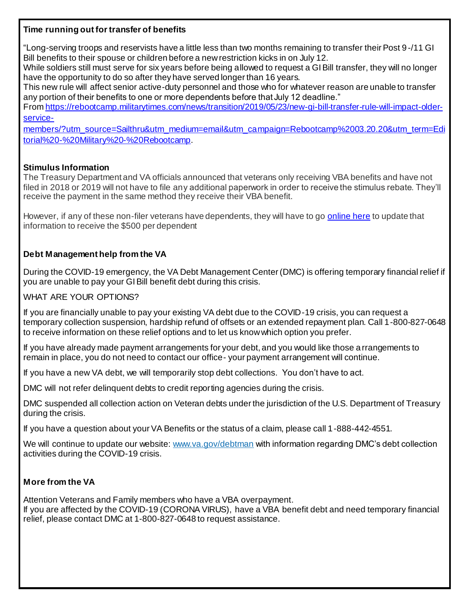#### **Time running out for transfer of benefits**

"Long-serving troops and reservists have a little less than two months remaining to transfer their Post 9 -/11 GI Bill benefits to their spouse or children before a new restriction kicks in on July 12.

While soldiers still must serve for six years before being allowed to request a GI Bill transfer, they will no longer have the opportunity to do so after they have served longer than 16 years.

This new rule will affect senior active-duty personnel and those who for whatever reason are unable to transfer any portion of their benefits to one or more dependents before that July 12 deadline."

Fro[m https://rebootcamp.militarytimes.com/news/transition/2019/05/23/new-gi-bill-transfer-rule-will-impact-older](https://rebootcamp.militarytimes.com/news/transition/2019/05/23/new-gi-bill-transfer-rule-will-impact-older-service-members/?utm_source=Sailthru&utm_medium=email&utm_campaign=Rebootcamp%2003.20.20&utm_term=Editorial%20-%20Military%20-%20Rebootcamp)[service-](https://rebootcamp.militarytimes.com/news/transition/2019/05/23/new-gi-bill-transfer-rule-will-impact-older-service-members/?utm_source=Sailthru&utm_medium=email&utm_campaign=Rebootcamp%2003.20.20&utm_term=Editorial%20-%20Military%20-%20Rebootcamp)

[members/?utm\\_source=Sailthru&utm\\_medium=email&utm\\_campaign=Rebootcamp%2003.20.20&utm\\_term=Edi](https://rebootcamp.militarytimes.com/news/transition/2019/05/23/new-gi-bill-transfer-rule-will-impact-older-service-members/?utm_source=Sailthru&utm_medium=email&utm_campaign=Rebootcamp%2003.20.20&utm_term=Editorial%20-%20Military%20-%20Rebootcamp) [torial%20-%20Military%20-%20Rebootcamp](https://rebootcamp.militarytimes.com/news/transition/2019/05/23/new-gi-bill-transfer-rule-will-impact-older-service-members/?utm_source=Sailthru&utm_medium=email&utm_campaign=Rebootcamp%2003.20.20&utm_term=Editorial%20-%20Military%20-%20Rebootcamp).

## **Stimulus Information**

The Treasury Department and VA officials announced that veterans only receiving VBA benefits and have not filed in 2018 or 2019 will not have to file any additional paperwork in order to receive the stimulus rebate. They'll receive the payment in the same method they receive their VBA benefit.

However, if any of these non-filer veterans have dependents, they will have to go **online here** to update that information to receive the \$500 per dependent

## **Debt Management help from the VA**

During the COVID-19 emergency, the VA Debt Management Center (DMC) is offering temporary financial relief if you are unable to pay your GI Bill benefit debt during this crisis.

WHAT ARE YOUR OPTIONS?

If you are financially unable to pay your existing VA debt due to the COVID-19 crisis, you can request a temporary collection suspension, hardship refund of offsets or an extended repayment plan. Call 1-800-827-0648 to receive information on these relief options and to let us know which option you prefer.

If you have already made payment arrangements for your debt, and you would like those arrangements to remain in place, you do not need to contact our office- your payment arrangement will continue.

If you have a new VA debt, we will temporarily stop debt collections. You don't have to act.

DMC will not refer delinquent debts to credit reporting agencies during the crisis.

DMC suspended all collection action on Veteran debts under the jurisdiction of the U.S. Department of Treasury during the crisis.

If you have a question about your VA Benefits or the status of a claim, please call 1-888-442-4551.

We will continue to update our website[: www.va.gov/debtman](https://lnks.gd/l/eyJhbGciOiJIUzI1NiJ9.eyJidWxsZXRpbl9saW5rX2lkIjoxMDAsInVyaSI6ImJwMjpjbGljayIsImJ1bGxldGluX2lkIjoiMjAyMDA0MTMuMjAwNjkzNjEiLCJ1cmwiOiJodHRwOi8vd3d3LnZhLmdvdi9kZWJ0bWFuIn0.CMKJT1p5mGYLKS_c7VmfHYXxABdTwrDdz6WYGbZYX3s/br/77323812574-l) with information regarding DMC's debt collection activities during the COVID-19 crisis.

## **More from the VA**

Attention Veterans and Family members who have a VBA overpayment.

If you are affected by the COVID-19 (CORONA VIRUS), have a VBA benefit debt and need temporary financial relief, please contact DMC at 1-800-827-0648 to request assistance.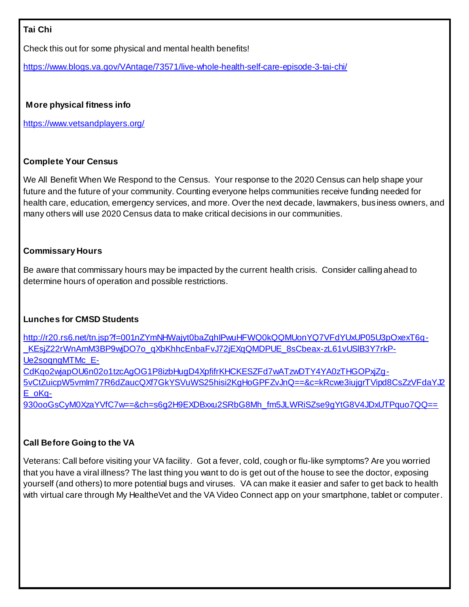## **Tai Chi**

Check this out for some physical and mental health benefits!

<https://www.blogs.va.gov/VAntage/73571/live-whole-health-self-care-episode-3-tai-chi/>

## **More physical fitness info**

<https://www.vetsandplayers.org/>

## **Complete Your Census**

We All Benefit When We Respond to the Census. Your response to the 2020 Census can help shape your future and the future of your community. Counting everyone helps communities receive funding needed for health care, education, emergency services, and more. Over the next decade, lawmakers, business owners, and many others will use 2020 Census data to make critical decisions in our communities.

## **Commissary Hours**

Be aware that commissary hours may be impacted by the current health crisis. Consider calling ahead to determine hours of operation and possible restrictions.

## **Lunches for CMSD Students**

[http://r20.rs6.net/tn.jsp?f=001nZYmNHWajyt0baZqhIPwuHFWQ0kQQMUonYQ7VFdYUxUP05U3pOxexT6q-](http://r20.rs6.net/tn.jsp?f=001nZYmNHWajyt0baZqhIPwuHFWQ0kQQMUonYQ7VFdYUxUP05U3pOxexT6q-_KEsjZ22rWnAmM3BP9wjDO7o_qXbKhhcEnbaFvJ72jEXqQMDPUE_8sCbeax-zL61vUSlB3Y7rkP-Ue2soqngMTMc_E-CdKqo2wjapOU6n02o1tzcAgOG1P8izbHugD4XpfifrKHCKESZFd7wATzwDTY4YA0zTHGOPxjZg-5vCtZuicpW5vmIm77R6dZaucQXf7GkYSVuWS25hisi2KgHoGPFZvJnQ==&c=kRcwe3iujgrTVipd8CsZzVFdaYJ2E_oKq-930ooGsCyM0XzaYVfC7w==&ch=s6g2H9EXDBxxu2SRbG8Mh_fm5JLWRiSZse9gYtG8V4JDxUTPquo7QQ==) KEsjZ22rWnAmM3BP9wjDO7o\_qXbKhhcEnbaFvJ72jEXqQMDPUE\_8sCbeax-zL61vUSIB3Y7rkP-[Ue2soqngMTMc\\_E-](http://r20.rs6.net/tn.jsp?f=001nZYmNHWajyt0baZqhIPwuHFWQ0kQQMUonYQ7VFdYUxUP05U3pOxexT6q-_KEsjZ22rWnAmM3BP9wjDO7o_qXbKhhcEnbaFvJ72jEXqQMDPUE_8sCbeax-zL61vUSlB3Y7rkP-Ue2soqngMTMc_E-CdKqo2wjapOU6n02o1tzcAgOG1P8izbHugD4XpfifrKHCKESZFd7wATzwDTY4YA0zTHGOPxjZg-5vCtZuicpW5vmIm77R6dZaucQXf7GkYSVuWS25hisi2KgHoGPFZvJnQ==&c=kRcwe3iujgrTVipd8CsZzVFdaYJ2E_oKq-930ooGsCyM0XzaYVfC7w==&ch=s6g2H9EXDBxxu2SRbG8Mh_fm5JLWRiSZse9gYtG8V4JDxUTPquo7QQ==)

[CdKqo2wjapOU6n02o1tzcAgOG1P8izbHugD4XpfifrKHCKESZFd7wATzwDTY4YA0zTHGOPxjZg-](http://r20.rs6.net/tn.jsp?f=001nZYmNHWajyt0baZqhIPwuHFWQ0kQQMUonYQ7VFdYUxUP05U3pOxexT6q-_KEsjZ22rWnAmM3BP9wjDO7o_qXbKhhcEnbaFvJ72jEXqQMDPUE_8sCbeax-zL61vUSlB3Y7rkP-Ue2soqngMTMc_E-CdKqo2wjapOU6n02o1tzcAgOG1P8izbHugD4XpfifrKHCKESZFd7wATzwDTY4YA0zTHGOPxjZg-5vCtZuicpW5vmIm77R6dZaucQXf7GkYSVuWS25hisi2KgHoGPFZvJnQ==&c=kRcwe3iujgrTVipd8CsZzVFdaYJ2E_oKq-930ooGsCyM0XzaYVfC7w==&ch=s6g2H9EXDBxxu2SRbG8Mh_fm5JLWRiSZse9gYtG8V4JDxUTPquo7QQ==)

[5vCtZuicpW5vmIm77R6dZaucQXf7GkYSVuWS25hisi2KgHoGPFZvJnQ==&c=kRcwe3iujgrTVipd8CsZzVFdaYJ2](http://r20.rs6.net/tn.jsp?f=001nZYmNHWajyt0baZqhIPwuHFWQ0kQQMUonYQ7VFdYUxUP05U3pOxexT6q-_KEsjZ22rWnAmM3BP9wjDO7o_qXbKhhcEnbaFvJ72jEXqQMDPUE_8sCbeax-zL61vUSlB3Y7rkP-Ue2soqngMTMc_E-CdKqo2wjapOU6n02o1tzcAgOG1P8izbHugD4XpfifrKHCKESZFd7wATzwDTY4YA0zTHGOPxjZg-5vCtZuicpW5vmIm77R6dZaucQXf7GkYSVuWS25hisi2KgHoGPFZvJnQ==&c=kRcwe3iujgrTVipd8CsZzVFdaYJ2E_oKq-930ooGsCyM0XzaYVfC7w==&ch=s6g2H9EXDBxxu2SRbG8Mh_fm5JLWRiSZse9gYtG8V4JDxUTPquo7QQ==) [E\\_oKq-](http://r20.rs6.net/tn.jsp?f=001nZYmNHWajyt0baZqhIPwuHFWQ0kQQMUonYQ7VFdYUxUP05U3pOxexT6q-_KEsjZ22rWnAmM3BP9wjDO7o_qXbKhhcEnbaFvJ72jEXqQMDPUE_8sCbeax-zL61vUSlB3Y7rkP-Ue2soqngMTMc_E-CdKqo2wjapOU6n02o1tzcAgOG1P8izbHugD4XpfifrKHCKESZFd7wATzwDTY4YA0zTHGOPxjZg-5vCtZuicpW5vmIm77R6dZaucQXf7GkYSVuWS25hisi2KgHoGPFZvJnQ==&c=kRcwe3iujgrTVipd8CsZzVFdaYJ2E_oKq-930ooGsCyM0XzaYVfC7w==&ch=s6g2H9EXDBxxu2SRbG8Mh_fm5JLWRiSZse9gYtG8V4JDxUTPquo7QQ==)

[930ooGsCyM0XzaYVfC7w==&ch=s6g2H9EXDBxxu2SRbG8Mh\\_fm5JLWRiSZse9gYtG8V4JDxUTPquo7QQ==](http://r20.rs6.net/tn.jsp?f=001nZYmNHWajyt0baZqhIPwuHFWQ0kQQMUonYQ7VFdYUxUP05U3pOxexT6q-_KEsjZ22rWnAmM3BP9wjDO7o_qXbKhhcEnbaFvJ72jEXqQMDPUE_8sCbeax-zL61vUSlB3Y7rkP-Ue2soqngMTMc_E-CdKqo2wjapOU6n02o1tzcAgOG1P8izbHugD4XpfifrKHCKESZFd7wATzwDTY4YA0zTHGOPxjZg-5vCtZuicpW5vmIm77R6dZaucQXf7GkYSVuWS25hisi2KgHoGPFZvJnQ==&c=kRcwe3iujgrTVipd8CsZzVFdaYJ2E_oKq-930ooGsCyM0XzaYVfC7w==&ch=s6g2H9EXDBxxu2SRbG8Mh_fm5JLWRiSZse9gYtG8V4JDxUTPquo7QQ==)

## **Call Before Going to the VA**

Veterans: Call before visiting your VA facility. Got a fever, cold, cough or flu-like symptoms? Are you worried that you have a viral illness? The last thing you want to do is get out of the house to see the doctor, exposing yourself (and others) to more potential bugs and viruses. VA can make it easier and safer to get back to health with virtual care through My HealtheVet and the VA Video Connect app on your smartphone, tablet or computer.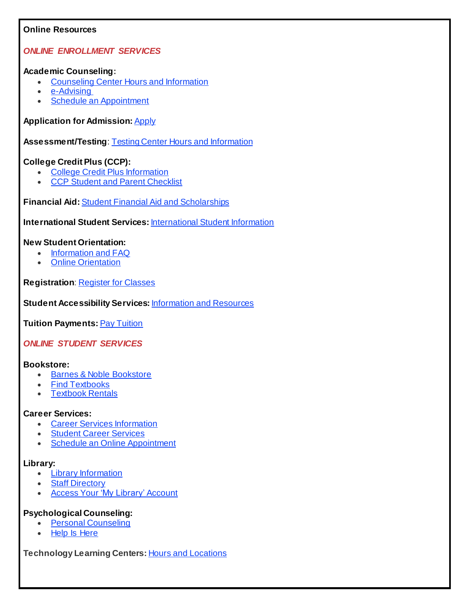#### **Online Resources**

## *ONLINE ENROLLMENT SERVICES*

#### **Academic Counseling:**

- [Counseling](https://click.icptrack.com/icp/relay.php?r=14424044&msgid=938252&act=V41T&c=192417&destination=https%3A%2F%2Fwww.tri-c.edu%2Fcounseling-center%2Findex.html%3Futm_source%3DiContact%26utm_medium%3Demail%26utm_campaign%3Doffice-of-access-completion%26utm_content%3DUpdate%2BCoronavirus%2Bre%253A%2BServices_0311820) Center Hours and Information
- [e-Advising](https://click.icptrack.com/icp/relay.php?r=14424044&msgid=938252&act=V41T&c=192417&destination=https%3A%2F%2Fwww.tri-c.edu%2Fcounseling-center%2Fe-advising-request-information.html%3Futm_source%3DiContact%26utm_medium%3Demail%26utm_campaign%3Doffice-of-access-completion%26utm_content%3DUpdate%2BCoronavirus%2Bre%253A%2BServices_0311820)
- Schedule an [Appointment](https://click.icptrack.com/icp/relay.php?r=14424044&msgid=938252&act=V41T&c=192417&destination=https%3A%2F%2Fesars.tri-c.edu%2Fesars%2FCounseling.htm%3F_ga%3D2.98126751.1643819149.1584367999-1341745165.1541180067)

#### **Application for Admission:** [Apply](https://click.icptrack.com/icp/relay.php?r=14424044&msgid=938252&act=V41T&c=192417&destination=https%3A%2F%2Fwww.tri-c.edu%2Fapply%2F%3Futm_source%3DiContact%26utm_medium%3Demail%26utm_campaign%3Doffice-of-access-completion%26utm_content%3DUpdate%2BCoronavirus%2Bre%253A%2BServices_0311820)

**Assessment/Testing**: Testing Center Hours and [Information](https://click.icptrack.com/icp/relay.php?r=14424044&msgid=938252&act=V41T&c=192417&destination=https%3A%2F%2Fwww.tri-c.edu%2Ftesting-center%2Ftesting-information-for-students.html%3Futm_source%3DiContact%26utm_medium%3Demail%26utm_campaign%3Doffice-of-access-completion%26utm_content%3DUpdate%2BCoronavirus%2Bre%253A%2BServices_0311820)

## **College Credit Plus (CCP):**

- College Credit Plus [Information](https://click.icptrack.com/icp/relay.php?r=14424044&msgid=938252&act=V41T&c=192417&destination=https%3A%2F%2Fwww.tri-c.edu%2Fcollege-credit-plus%2F%3Futm_source%3DiContact%26utm_medium%3Demail%26utm_campaign%3Doffice-of-access-completion%26utm_content%3DUpdate%2BCoronavirus%2Bre%253A%2BServices_0311820)
- CCP Student and Parent [Checklist](https://click.icptrack.com/icp/relay.php?r=14424044&msgid=938252&act=V41T&c=192417&destination=https%3A%2F%2Fwww.tri-c.edu%2Fcollege-credit-plus%2Fstudents-and-parents.html%3Futm_source%3DiContact%26utm_medium%3Demail%26utm_campaign%3Doffice-of-access-completion%26utm_content%3DUpdate%2BCoronavirus%2Bre%253A%2BServices_0311820)

**Financial Aid:** Student Financial Aid and [Scholarships](https://click.icptrack.com/icp/relay.php?r=14424044&msgid=938252&act=V41T&c=192417&destination=https%3A%2F%2Fwww.tri-c.edu%2Fpaying-for-college%2Ffinancial-aid-and-scholarships%2Findex.html%3Futm_source%3DiContact%26utm_medium%3Demail%26utm_campaign%3Doffice-of-access-completion%26utm_content%3DUpdate%2BCoronavirus%2Bre%253A%2BServices_0311820)

**International Student Services:** [International](https://click.icptrack.com/icp/relay.php?r=14424044&msgid=938252&act=V41T&c=192417&destination=https%3A%2F%2Fwww.tri-c.edu%2Fget-started%2Finternational-students%2Findex.html%3Futm_source%3DiContact%26utm_medium%3Demail%26utm_campaign%3Doffice-of-access-completion%26utm_content%3DUpdate%2BCoronavirus%2Bre%253A%2BServices_0311820) Student Information

#### **New Student Orientation:**

- [Information](https://click.icptrack.com/icp/relay.php?r=14424044&msgid=938252&act=V41T&c=192417&destination=https%3A%2F%2Fwww.tri-c.edu%2Fcounseling-center%2Fnew-student-orientation.html%3Futm_source%3DiContact%26utm_medium%3Demail%26utm_campaign%3Doffice-of-access-completion%26utm_content%3DUpdate%2BCoronavirus%2Bre%253A%2BServices_0311820) and FAQ
- Online [Orientation](https://click.icptrack.com/icp/relay.php?r=14424044&msgid=938252&act=V41T&c=192417&destination=https%3A%2F%2Flaunch.comevo.com%2Fcuyahoga%2F)

**Registration**: [Register](https://click.icptrack.com/icp/relay.php?r=14424044&msgid=938252&act=V41T&c=192417&destination=https%3A%2F%2Fwww.tri-c.edu%2Fstudent-resources%2Fregister-for-classes.html%3Futm_source%3DiContact%26utm_medium%3Demail%26utm_campaign%3Doffice-of-access-completion%26utm_content%3DUpdate%2BCoronavirus%2Bre%253A%2BServices_0311820) for Classes

**Student Accessibility Services:** [Information](https://click.icptrack.com/icp/relay.php?r=14424044&msgid=938252&act=V41T&c=192417&destination=https%3A%2F%2Fwww.tri-c.edu%2Fstudent-accessibility-services%2Findex.html%3Futm_source%3DiContact%26utm_medium%3Demail%26utm_campaign%3Doffice-of-access-completion%26utm_content%3DUpdate%2BCoronavirus%2Bre%253A%2BServices_0311820) and Resources

**Tuition Payments:** Pay [Tuition](https://click.icptrack.com/icp/relay.php?r=14424044&msgid=938252&act=V41T&c=192417&destination=https%3A%2F%2Fwww.tri-c.edu%2Fpaying-for-college%2Findex.html%3Futm_source%3DiContact%26utm_medium%3Demail%26utm_campaign%3Doffice-of-access-completion%26utm_content%3DUpdate%2BCoronavirus%2Bre%253A%2BServices_0311820)

*ONLINE STUDENT SERVICES*

#### **Bookstore:**

- Barnes & Noble [Bookstore](https://click.icptrack.com/icp/relay.php?r=14424044&msgid=938252&act=V41T&c=192417&destination=https%3A%2F%2Fcuyahoga-west.bncollege.com%2Fshop%2Fcuyahoga-western%2Fhome)
- Find [Textbooks](https://click.icptrack.com/icp/relay.php?r=14424044&msgid=938252&act=V41T&c=192417&destination=https%3A%2F%2Fcuyahoga-west.bncollege.com%2Fshop%2Fcuyahoga-western%2Fpage%2Ffind-textbooks)
- [Textbook](https://click.icptrack.com/icp/relay.php?r=14424044&msgid=938252&act=V41T&c=192417&destination=https%3A%2F%2Fcuyahoga-west.bncollege.com%2Fshop%2Fcuyahoga-western%2Fpage%2Ftextbook-rentals) Rentals

#### **Career Services:**

- Career Services [Information](https://click.icptrack.com/icp/relay.php?r=14424044&msgid=938252&act=V41T&c=192417&destination=https%3A%2F%2Fwww.tri-c.edu%2Fcareer-services%2Findex.html%3Futm_source%3DiContact%26utm_medium%3Demail%26utm_campaign%3Doffice-of-access-completion%26utm_content%3DUpdate%2BCoronavirus%2Bre%253A%2BServices_0311820)
- Student Career [Services](https://click.icptrack.com/icp/relay.php?r=14424044&msgid=938252&act=V41T&c=192417&destination=https%3A%2F%2Fwww.tri-c.edu%2Fcareer-services%2Fstudent-career-services%2Findex.html%3Futm_source%3DiContact%26utm_medium%3Demail%26utm_campaign%3Doffice-of-access-completion%26utm_content%3DUpdate%2BCoronavirus%2Bre%253A%2BServices_0311820)
- Schedule an Online [Appointment](https://click.icptrack.com/icp/relay.php?r=14424044&msgid=938252&act=V41T&c=192417&destination=https%3A%2F%2Fesars.tri-c.edu%2Fesars%2FCareerCenter.htm%3F_ga%3D2.80440661.370317036.1584371610-1474546294.1537904651)

## **Library:**

- Library [Information](https://click.icptrack.com/icp/relay.php?r=14424044&msgid=938252&act=V41T&c=192417&destination=https%3A%2F%2Fwww.tri-c.edu%2Flearning-commons%2Flibrary%2Findex.html%3Futm_source%3DiContact%26utm_medium%3Demail%26utm_campaign%3Doffice-of-access-completion%26utm_content%3DUpdate%2BCoronavirus%2Bre%253A%2BServices_0311820)
- **Staff [Directory](https://click.icptrack.com/icp/relay.php?r=14424044&msgid=938252&act=V41T&c=192417&destination=https%3A%2F%2Fwww.tri-c.edu%2Flearning-commons%2Flibrary%2Flibrary-staff.html%3Futm_source%3DiContact%26utm_medium%3Demail%26utm_campaign%3Doffice-of-access-completion%26utm_content%3DUpdate%2BCoronavirus%2Bre%253A%2BServices_0311820)**
- Access Your 'My Library' [Account](https://click.icptrack.com/icp/relay.php?r=14424044&msgid=938252&act=V41T&c=192417&destination=https%3A%2F%2Finnopac.tri-c.edu%2Fiii%2Fcas%2Flogin%3Fservice%3Dhttps%3A%2F%2Fencore.tri-c.edu%3A443%2Fiii%2Fencore%2Fj_acegi_cas_security_check%26lang%3Deng%26_ga%3D2.206242067.1643819149.1584367999-1341745165.1541180067)

## **Psychological Counseling:**

- Personal [Counseling](https://click.icptrack.com/icp/relay.php?r=14424044&msgid=938252&act=V41T&c=192417&destination=https%3A%2F%2Fwww.tri-c.edu%2Fcounseling-center%2Fpersonal-counseling.html%3Futm_source%3DiContact%26utm_medium%3Demail%26utm_campaign%3Doffice-of-access-completion%26utm_content%3DUpdate%2BCoronavirus%2Bre%253A%2BServices_0311820)
- Help Is [Here](https://click.icptrack.com/icp/relay.php?r=14424044&msgid=938252&act=V41T&c=192417&destination=https%3A%2F%2Fwww.tri-c.edu%2Fpolicies-and-procedures%2Fsuicide-awareness-and-prevention%2Findex.html%3Futm_source%3DiContact%26utm_medium%3Demail%26utm_campaign%3Doffice-of-access-completion%26utm_content%3DUpdate%2BCoronavirus%2Bre%253A%2BServices_0311820)

**Technology Learning Centers:** Hours and [Locations](https://click.icptrack.com/icp/relay.php?r=14424044&msgid=938252&act=V41T&c=192417&destination=https%3A%2F%2Fwww.tri-c.edu%2Flearning-commons%2Ftechnology-learning-centers%2Findex.html%3Futm_source%3DiContact%26utm_medium%3Demail%26utm_campaign%3Doffice-of-access-completion%26utm_content%3DUpdate%2BCoronavirus%2Bre%253A%2BServices_0311820)